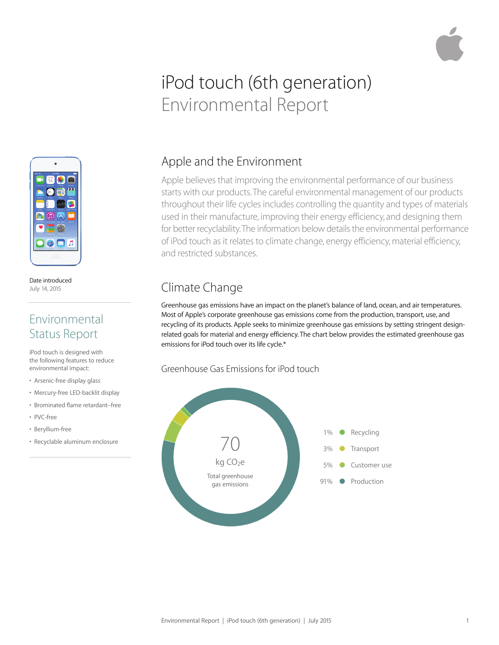# iPod touch (6th generation) Environmental Report



Date introduced July 14, 2015

### Environmental Status Report

iPod touch is designed with the following features to reduce environmental impact:

- Arsenic-free display glass
- Mercury-free LED-backlit display
- Brominated flame retardant–free
- PVC-free
- Beryllium-free
- Recyclable aluminum enclosure

### Apple and the Environment

Apple believes that improving the environmental performance of our business starts with our products. The careful environmental management of our products throughout their life cycles includes controlling the quantity and types of materials used in their manufacture, improving their energy efficiency, and designing them for better recyclability. The information below details the environmental performance of iPod touch as it relates to climate change, energy efficiency, material efficiency, and restricted substances.

## Climate Change

Greenhouse gas emissions have an impact on the planet's balance of land, ocean, and air temperatures. Most of Apple's corporate greenhouse gas emissions come from the production, transport, use, and recycling of its products. Apple seeks to minimize greenhouse gas emissions by setting stringent designrelated goals for material and energy efficiency. The chart below provides the estimated greenhouse gas emissions for iPod touch over its life cycle.\*

#### Greenhouse Gas Emissions for iPod touch

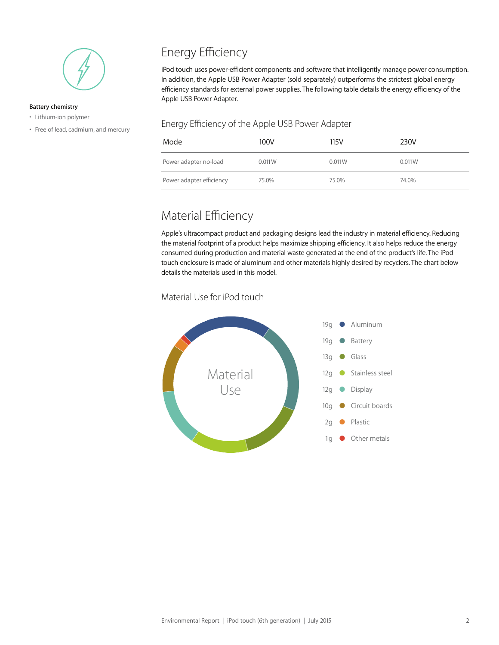

#### **Battery chemistry**

- Lithium-ion polymer
- Free of lead, cadmium, and mercury

## Energy Efficiency

iPod touch uses power-efficient components and software that intelligently manage power consumption. In addition, the Apple USB Power Adapter (sold separately) outperforms the strictest global energy efficiency standards for external power supplies. The following table details the energy efficiency of the Apple USB Power Adapter.

#### Energy Efficiency of the Apple USB Power Adapter

| Mode                     | 100V   | 115V   | 230V   |
|--------------------------|--------|--------|--------|
| Power adapter no-load    | 0.011W | 0.011W | 0.011W |
| Power adapter efficiency | 75.0%  | 75.0%  | 74.0%  |

### Material Efficiency

Apple's ultracompact product and packaging designs lead the industry in material efficiency. Reducing the material footprint of a product helps maximize shipping efficiency. It also helps reduce the energy consumed during production and material waste generated at the end of the product's life. The iPod touch enclosure is made of aluminum and other materials highly desired by recyclers. The chart below details the materials used in this model.

#### Material Use for iPod touch

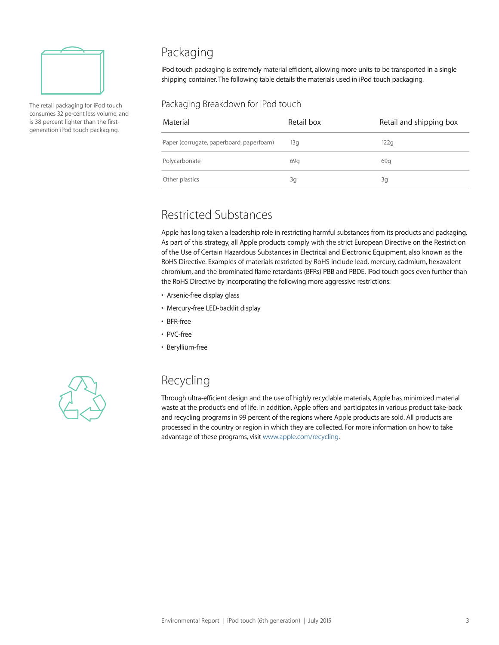

The retail packaging for iPod touch consumes 32 percent less volume, and is 38 percent lighter than the firstgeneration iPod touch packaging.

### Packaging

iPod touch packaging is extremely material efficient, allowing more units to be transported in a single shipping container. The following table details the materials used in iPod touch packaging.

#### Packaging Breakdown for iPod touch

| Material                                 | Retail box | Retail and shipping box |
|------------------------------------------|------------|-------------------------|
| Paper (corrugate, paperboard, paperfoam) | 13q        | 122q                    |
| Polycarbonate                            | 69g        | 69q                     |
| Other plastics                           | 3g         | 3g                      |

#### Restricted Substances

Apple has long taken a leadership role in restricting harmful substances from its products and packaging. As part of this strategy, all Apple products comply with the strict European Directive on the Restriction of the Use of Certain Hazardous Substances in Electrical and Electronic Equipment, also known as the RoHS Directive. Examples of materials restricted by RoHS include lead, mercury, cadmium, hexavalent chromium, and the brominated flame retardants (BFRs) PBB and PBDE. iPod touch goes even further than the RoHS Directive by incorporating the following more aggressive restrictions:

- Arsenic-free display glass
- Mercury-free LED-backlit display
- BFR-free
- PVC-free
- Beryllium-free



#### Recycling

Through ultra-efficient design and the use of highly recyclable materials, Apple has minimized material waste at the product's end of life. In addition, Apple offers and participates in various product take-back and recycling programs in 99 percent of the regions where Apple products are sold. All products are processed in the country or region in which they are collected. For more information on how to take advantage of these programs, visit www.apple.com/recycling.